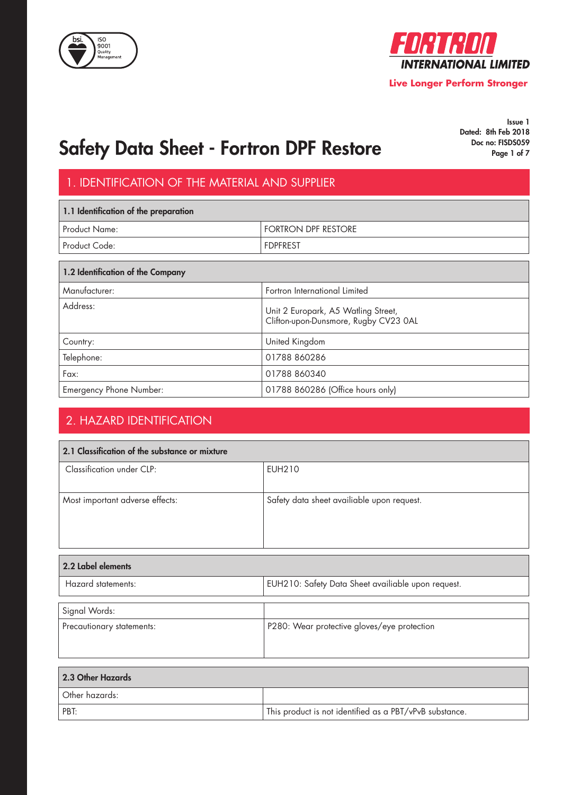



Issue 1 Dated: 8th Feb 2018<br>Doc no: FISDS059

## Safety Data Sheet - Fortron DPF Restore Doc. Doc. no: FISDS059

### 1. IDENTIFICATION OF THE MATERIAL AND SUPPLIER

| 1.1 Identification of the preparation |                            |
|---------------------------------------|----------------------------|
| Product Name:                         | <b>FORTRON DPF RESTORE</b> |
| <sup>1</sup> Product Code:            | <b>FDPFREST</b>            |
|                                       |                            |

| 1.2 Identification of the Company |                                                                              |  |
|-----------------------------------|------------------------------------------------------------------------------|--|
| Manufacturer:                     | Fortron International Limited                                                |  |
| Address:                          | Unit 2 Europark, A5 Watling Street,<br>Clifton-upon-Dunsmore, Rugby CV23 0AL |  |
| Country:                          | United Kingdom                                                               |  |
| Telephone:                        | 01788 860286                                                                 |  |
| Fax:                              | 01788 860340                                                                 |  |
| Emergency Phone Number:           | 01788 860286 (Office hours only)                                             |  |

### 2. HAZARD IDENTIFICATION

| 2.1 Classification of the substance or mixture |                                                    |  |
|------------------------------------------------|----------------------------------------------------|--|
| Classification under CLP:                      | EUH210                                             |  |
| Most important adverse effects:                | Safety data sheet availiable upon request.         |  |
|                                                |                                                    |  |
|                                                |                                                    |  |
|                                                |                                                    |  |
| 2.2 Label elements                             |                                                    |  |
| Hazard statements:                             | EUH210: Safety Data Sheet availiable upon request. |  |

| $1192919$ and $191191$    | LOTIZ TO. OGICIY D'UIG ONCON GYGNIGDIC OPON TCGOCON. |
|---------------------------|------------------------------------------------------|
| Signal Words:             |                                                      |
| Precautionary statements: | P280: Wear protective gloves/eye protection          |
|                           |                                                      |

| 2.3 Other Hazards |                                                         |
|-------------------|---------------------------------------------------------|
| Other hazards:    |                                                         |
| PBT:              | This product is not identified as a PBT/vPvB substance. |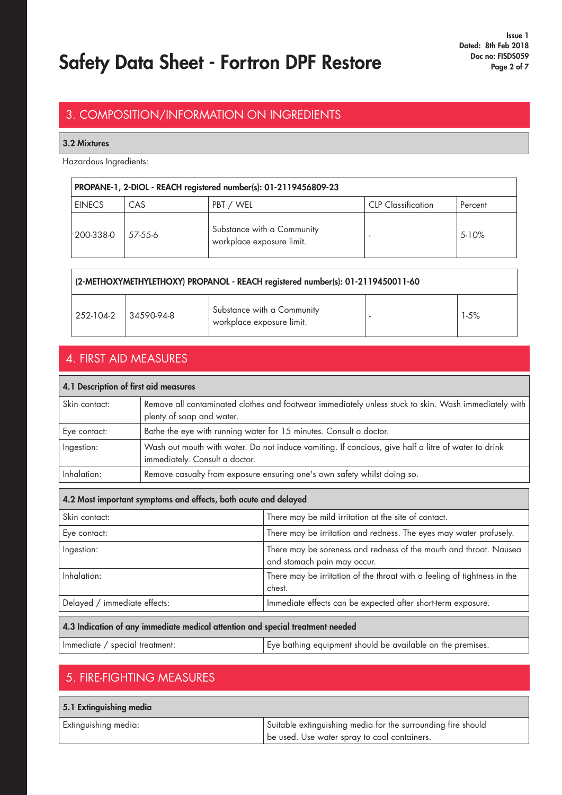## Safety Data Sheet - Fortron DPF Restore Doc. Doc. no: FISDS059

#### 3. COMPOSITION/INFORMATION ON INGREDIENTS

#### 3.2 Mixtures

Hazardous Ingredients:

| PROPANE-1, 2-DIOL - REACH registered number(s): 01-2119456809-23 |         |                                                         |                           |         |
|------------------------------------------------------------------|---------|---------------------------------------------------------|---------------------------|---------|
| <b>EINECS</b>                                                    | CAS     | PBT / WEL                                               | <b>CLP</b> Classification | Percent |
| 200-338-0                                                        | 57-55-6 | Substance with a Community<br>workplace exposure limit. |                           | $5-10%$ |

| (2-METHOXYMETHYLETHOXY) PROPANOL - REACH registered number(s): 01-2119450011-60 |            |                                                         |  |        |
|---------------------------------------------------------------------------------|------------|---------------------------------------------------------|--|--------|
| 252-104-2                                                                       | 34590-94-8 | Substance with a Community<br>workplace exposure limit. |  | $1-5%$ |

#### 4. FIRST AID MEASURES

#### 4.1 Description of first aid measures

| Skin contact: | Remove all contaminated clothes and footwear immediately unless stuck to skin. Wash immediately with |
|---------------|------------------------------------------------------------------------------------------------------|
|               | plenty of soap and water.                                                                            |
| Eye contact:  | Bathe the eye with running water for 15 minutes. Consult a doctor.                                   |
| Ingestion:    | Wash out mouth with water. Do not induce vomiting. If concious, give half a litre of water to drink  |
|               | immediately. Consult a doctor.                                                                       |
| Inhalation:   | Remove casualty from exposure ensuring one's own safety whilst doing so.                             |

| 4.2 Most important symptoms and effects, both acute and delayed                |                                                                                                  |  |
|--------------------------------------------------------------------------------|--------------------------------------------------------------------------------------------------|--|
| Skin contact:                                                                  | There may be mild irritation at the site of contact.                                             |  |
| Eye contact:                                                                   | There may be irritation and redness. The eyes may water profusely.                               |  |
| Ingestion:                                                                     | There may be soreness and redness of the mouth and throat. Nausea<br>and stomach pain may occur. |  |
| Inhalation:                                                                    | There may be irritation of the throat with a feeling of tightness in the<br>chest.               |  |
| Delayed / immediate effects:                                                   | Immediate effects can be expected after short-term exposure.                                     |  |
| 4.3 Indication of any immediate medical attention and special treatment needed |                                                                                                  |  |

| Immediate / special treatment: | Eye bathing equipment should be available on the premises. |
|--------------------------------|------------------------------------------------------------|
|--------------------------------|------------------------------------------------------------|

#### 5. FIRE-FIGHTING MEASURES

| 5.1 Extinguishing media |                                                              |
|-------------------------|--------------------------------------------------------------|
| Extinguishing media:    | Suitable extinguishing media for the surrounding fire should |
|                         | be used. Use water spray to cool containers.                 |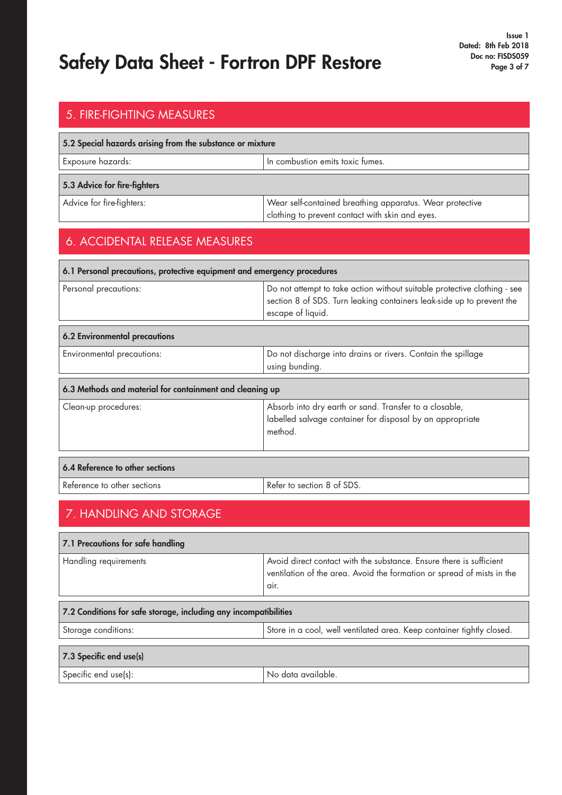## Safety Data Sheet - Fortron DPF Restore Doc no: FISDS059 Page 3 of 7

### 5. FIRE-FIGHTING MEASURES

| 5.2 Special hazards arising from the substance or mixture |                                                                                                             |  |
|-----------------------------------------------------------|-------------------------------------------------------------------------------------------------------------|--|
| Exposure hazards:<br>In combustion emits toxic fumes.     |                                                                                                             |  |
| 5.3 Advice for fire-fighters                              |                                                                                                             |  |
| Advice for fire-fighters:                                 | Wear self-contained breathing apparatus. Wear protective<br>clothing to prevent contact with skin and eyes. |  |

#### 6. ACCIDENTAL RELEASE MEASURES

| 6.1 Personal precautions, protective equipment and emergency procedures |                                                                                                                                                                        |  |
|-------------------------------------------------------------------------|------------------------------------------------------------------------------------------------------------------------------------------------------------------------|--|
| Personal precautions:                                                   | Do not attempt to take action without suitable protective clothing - see<br>section 8 of SDS. Turn leaking containers leak-side up to prevent the<br>escape of liquid. |  |
| <b>6.2 Environmental precautions</b>                                    |                                                                                                                                                                        |  |
| Environmental precautions:                                              | Do not discharge into drains or rivers. Contain the spillage<br>using bunding.                                                                                         |  |
| 6.3 Methods and material for containment and cleaning up                |                                                                                                                                                                        |  |
| Clean-up procedures:                                                    | Absorb into dry earth or sand. Transfer to a closable,<br>labelled salvage container for disposal by an appropriate<br>method.                                         |  |
| 6.4 Reference to other sections                                         |                                                                                                                                                                        |  |

| Reference to other sections | Refer to section 8 of SDS. |
|-----------------------------|----------------------------|

### 7. HANDLING AND STORAGE

| 7.1 Precautions for safe handling                                |                                                                                                                                                       |
|------------------------------------------------------------------|-------------------------------------------------------------------------------------------------------------------------------------------------------|
| Handling requirements                                            | Avoid direct contact with the substance. Ensure there is sufficient<br>ventilation of the area. Avoid the formation or spread of mists in the<br>air. |
|                                                                  |                                                                                                                                                       |
| 7.2 Conditions for safe storage, including any incompatibilities |                                                                                                                                                       |
| Storage conditions:                                              | Store in a cool, well ventilated area. Keep container tightly closed.                                                                                 |
|                                                                  |                                                                                                                                                       |
| 7.3 Specific end use(s)                                          |                                                                                                                                                       |
| Specific end use(s):                                             | No data available.                                                                                                                                    |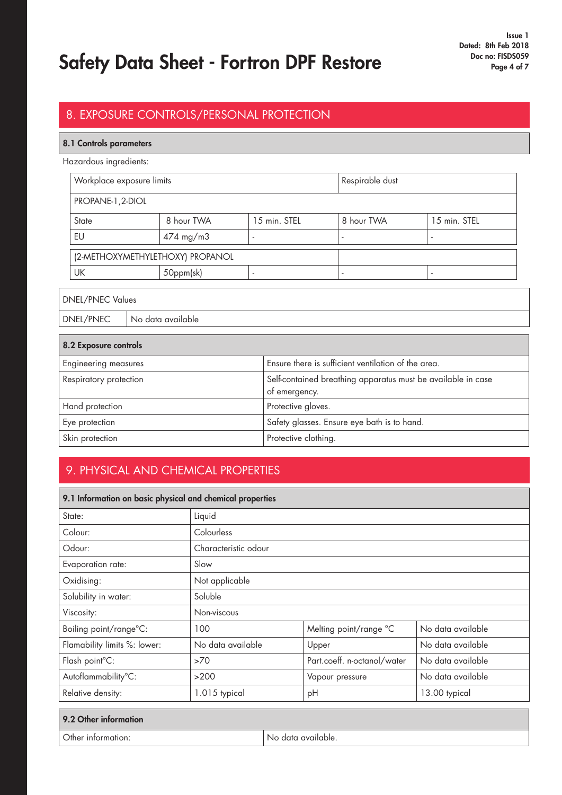## Safety Data Sheet - Fortron DPF Restore Doc. Doc. no: FISDS059

#### 8. EXPOSURE CONTROLS/PERSONAL PROTECTION

#### 8.1 Controls parameters

Hazardous ingredients:

| Workplace exposure limits        |                      |              | Respirable dust |              |
|----------------------------------|----------------------|--------------|-----------------|--------------|
| PROPANE-1, 2-DIOL                |                      |              |                 |              |
| State                            | 8 hour TWA           | 15 min. STEL | 8 hour TWA      | 15 min. STEL |
| EU                               | $474 \text{ mg/m}$ 3 | ۰            |                 |              |
| (2-METHOXYMETHYLETHOXY) PROPANOL |                      |              |                 |              |
| UK                               | 50ppm(sk)            | ۰            |                 |              |

DNEL/PNEC Values DNEL/PNEC | No data available

| 8.2 Exposure controls       |                                                                               |
|-----------------------------|-------------------------------------------------------------------------------|
| <b>Engineering measures</b> | Ensure there is sufficient ventilation of the area.                           |
| Respiratory protection      | Self-contained breathing apparatus must be available in case<br>of emergency. |
| Hand protection             | Protective gloves.                                                            |
| Eye protection              | Safety glasses. Ensure eye bath is to hand.                                   |
| Skin protection             | Protective clothing.                                                          |

#### 9. PHYSICAL AND CHEMICAL PROPERTIES

| 9.1 Information on basic physical and chemical properties |                      |                             |                   |
|-----------------------------------------------------------|----------------------|-----------------------------|-------------------|
| State:                                                    | Liquid               |                             |                   |
| Colour:                                                   | Colourless           |                             |                   |
| Odour:                                                    | Characteristic odour |                             |                   |
| Evaporation rate:                                         | Slow                 |                             |                   |
| Oxidising:                                                | Not applicable       |                             |                   |
| Solubility in water:                                      | Soluble              |                             |                   |
| Viscosity:                                                | Non-viscous          |                             |                   |
| Boiling point/range°C:                                    | 100                  | Melting point/range °C      | No data available |
| Flamability limits %: lower:                              | No data available    | Upper                       | No data available |
| Flash point°C:                                            | >70                  | Part.coeff. n-octanol/water | No data available |
| Autoflammability°C:                                       | >200                 | Vapour pressure             | No data available |
| Relative density:                                         | 1.015 typical        | pH                          | 13.00 typical     |

| 9.2 Other information |                    |
|-----------------------|--------------------|
| Other information:    | No data available. |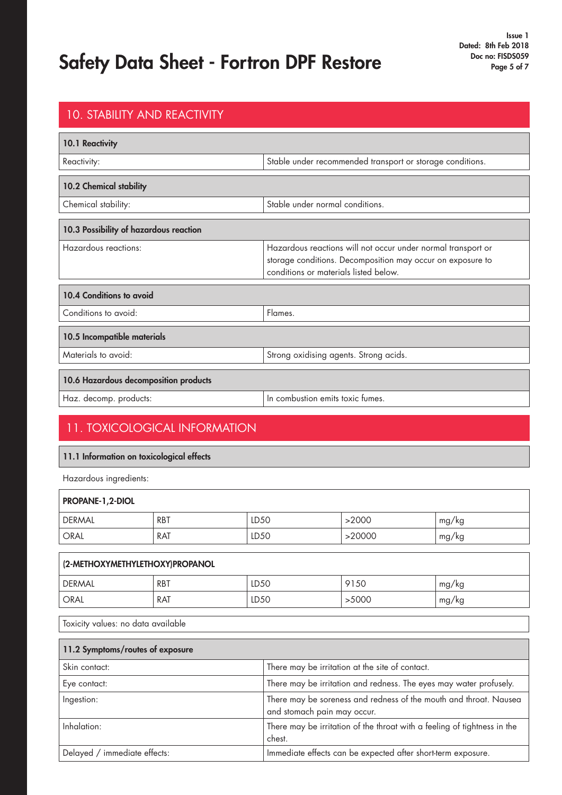### Safety Data Sheet - Fortron DPF Restore Doc. Doc. no: FISDS059

### 10.1 Reactivity Reactivity: Reactivity: Reactivity: Reactivity: Stable under recommended transport or storage conditions. 10. STABILITY AND REACTIVITY 10.2 Chemical stability Chemical stability: Stable under normal conditions. 10.3 Possibility of hazardous reaction Hazardous reactions: Hazardous reactions will not occur under normal transport or storage conditions. Decomposition may occur on exposure to conditions or materials listed below. 10.4 Conditions to avoid Conditions to avoid: Flames. 10.5 Incompatible materials Materials to avoid:  $\blacksquare$  Strong oxidising agents. Strong acids. 10.6 Hazardous decomposition products Haz. decomp. products:  $\vert$  In combustion emits toxic fumes.

#### 11. TOXICOLOGICAL INFORMATION

#### 11.1 Information on toxicological effects

Hazardous ingredients:

| PROPANE-1,2-DIOL                   |            |      |                                                                                                  |                                                                          |       |
|------------------------------------|------------|------|--------------------------------------------------------------------------------------------------|--------------------------------------------------------------------------|-------|
| <b>DERMAL</b>                      | <b>RBT</b> | LD50 |                                                                                                  | >2000                                                                    | mg/kg |
| <b>ORAL</b>                        | <b>RAT</b> | LD50 |                                                                                                  | >20000                                                                   | mg/kg |
|                                    |            |      |                                                                                                  |                                                                          |       |
| (2-METHOXYMETHYLETHOXY)PROPANOL    |            |      |                                                                                                  |                                                                          |       |
| <b>DERMAL</b>                      | <b>RBT</b> | LD50 |                                                                                                  | 9150                                                                     | mg/kg |
| <b>ORAL</b>                        | <b>RAT</b> | LD50 |                                                                                                  | >5000                                                                    | mg/kg |
| Toxicity values: no data available |            |      |                                                                                                  |                                                                          |       |
| 11.2 Symptoms/routes of exposure   |            |      |                                                                                                  |                                                                          |       |
| Skin contact:                      |            |      |                                                                                                  | There may be irritation at the site of contact.                          |       |
| Eye contact:                       |            |      | There may be irritation and redness. The eyes may water profusely.                               |                                                                          |       |
| Ingestion:                         |            |      | There may be soreness and redness of the mouth and throat. Nausea<br>and stomach pain may occur. |                                                                          |       |
| Inhalation:                        |            |      | chest.                                                                                           | There may be irritation of the throat with a feeling of tightness in the |       |
| Delayed / immediate effects:       |            |      | Immediate effects can be expected after short-term exposure.                                     |                                                                          |       |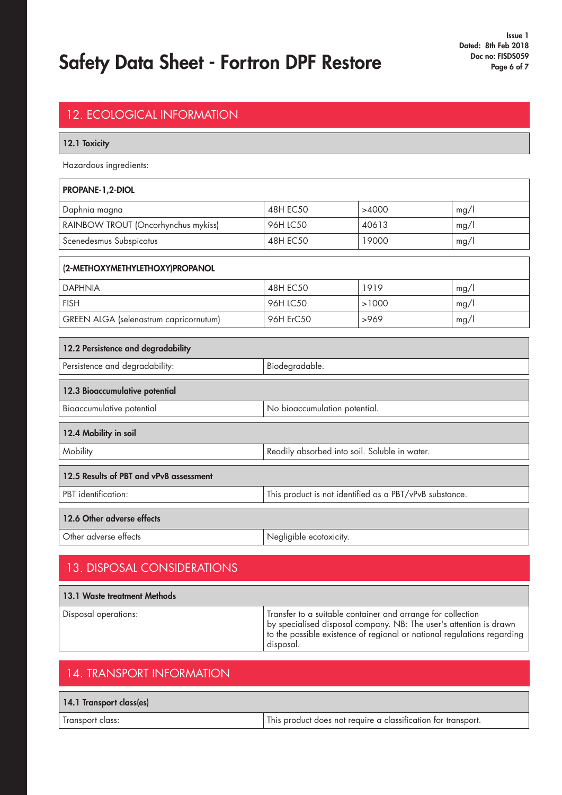# Safety Data Sheet - Fortron DPF Restore Doc no: FISDS059 Page 6 of 7

| <b>12. ECOLOGICAL INFORMATION</b>                          |                         |                                                         |      |
|------------------------------------------------------------|-------------------------|---------------------------------------------------------|------|
| 12.1 Toxicity                                              |                         |                                                         |      |
| Hazardous ingredients:                                     |                         |                                                         |      |
| PROPANE-1,2-DIOL                                           |                         |                                                         |      |
| Daphnia magna                                              | <b>48H EC50</b>         | >4000                                                   | mg/l |
| RAINBOW TROUT (Oncorhynchus mykiss)                        | 96H LC50                | 40613                                                   | mg/l |
| Scenedesmus Subspicatus                                    | <b>48H EC50</b>         | 19000                                                   | mg/l |
| (2-METHOXYMETHYLETHOXY)PROPANOL                            |                         |                                                         |      |
| <b>DAPHNIA</b>                                             | <b>48H EC50</b>         | 1919                                                    | mg/l |
| <b>FISH</b>                                                | 96H LC50                | >1000                                                   | mg/l |
| GREEN ALGA (selenastrum capricornutum)                     | 96H ErC50               | >969                                                    | mg/l |
| 12.2 Persistence and degradability                         |                         |                                                         |      |
| Persistence and degradability:                             | Biodegradable.          |                                                         |      |
|                                                            |                         |                                                         |      |
| 12.3 Bioaccumulative potential                             |                         |                                                         |      |
| No bioaccumulation potential.<br>Bioaccumulative potential |                         |                                                         |      |
| 12.4 Mobility in soil                                      |                         |                                                         |      |
| Mobility                                                   |                         | Readily absorbed into soil. Soluble in water.           |      |
| 12.5 Results of PBT and vPvB assessment                    |                         |                                                         |      |
| PBT identification:                                        |                         | This product is not identified as a PBT/vPvB substance. |      |
| 12.6 Other adverse effects                                 |                         |                                                         |      |
| Other adverse effects                                      | Negligible ecotoxicity. |                                                         |      |
|                                                            |                         |                                                         |      |

### 13. DISPOSAL CONSIDERATIONS

| 13.1 Waste treatment Methods |                                                                                                                                                                                                                           |
|------------------------------|---------------------------------------------------------------------------------------------------------------------------------------------------------------------------------------------------------------------------|
| Disposal operations:         | Transfer to a suitable container and arrange for collection<br>by specialised disposal company. NB: The user's attention is drawn<br>to the possible existence of regional or national regulations regarding<br>disposal. |

#### 14. TRANSPORT INFORMATION

| 14.1 Transport class(es) |                                                               |
|--------------------------|---------------------------------------------------------------|
| Transport class:         | This product does not require a classification for transport. |